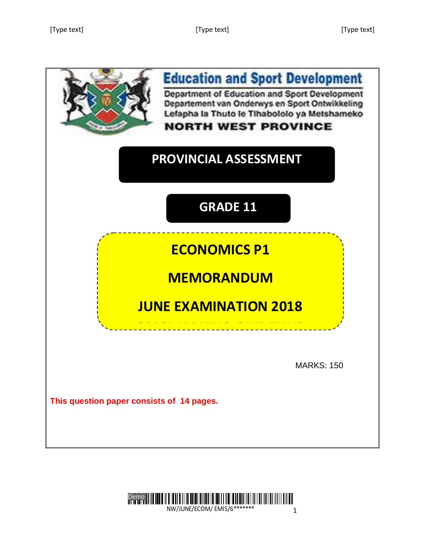

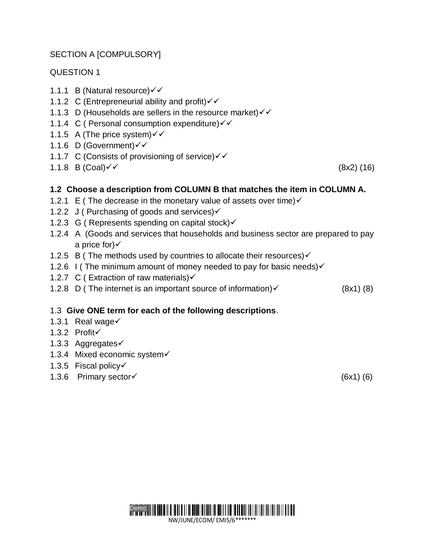# SECTION A [COMPULSORY]

# QUESTION 1

- 1.1.1 B (Natural resource)
- 1.1.2 C (Entrepreneurial ability and profit) $\checkmark$
- 1.1.3 D (Households are sellers in the resource market) $\checkmark\checkmark$
- 1.1.4 C ( Personal consumption expenditure) $\checkmark\checkmark$
- 1.1.5 A (The price system) $\checkmark\checkmark$
- 1.1.6 D (Government)
- 1.1.7 C (Consists of provisioning of service) $\checkmark\checkmark$
- $1.1.8$  B (Coal) $\checkmark$  (8x2) (16)

# **1.2 Choose a description from COLUMN B that matches the item in COLUMN A.**

- 1.2.1 E (The decrease in the monetary value of assets over time)  $\checkmark$
- 1.2.2 J (Purchasing of goods and services) $\checkmark$
- 1.2.3 G (Represents spending on capital stock) $\checkmark$
- 1.2.4 A (Goods and services that households and business sector are prepared to pay a price for) $\checkmark$
- 1.2.5 B (The methods used by countries to allocate their resources) $\checkmark$
- 1.2.6 I (The minimum amount of money needed to pay for basic needs) $\checkmark$
- 1.2.7 C ( Extraction of raw materials) $\checkmark$
- 1.2.8 D (The internet is an important source of information)  $\checkmark$  (8x1) (8)

# 1.3 **Give ONE term for each of the following descriptions**.

- 1.3.1 Real wage $\checkmark$
- 1.3.2 Profit
- 1.3.3 Aggregates
- 1.3.4 Mixed economic system
- 1.3.5 Fiscal policy
- 1.3.6 Primary sector  $(6x1)$  (6)

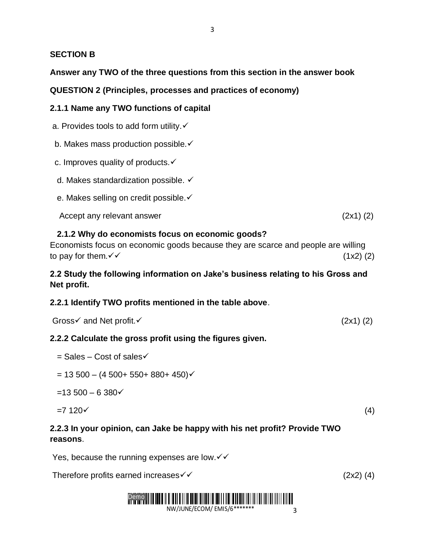#### **SECTION B**

#### **Answer any TWO of the three questions from this section in the answer book**

**QUESTION 2 (Principles, processes and practices of economy)**

#### **2.1.1 Name any TWO functions of capital**

a. Provides tools to add form utility. $\checkmark$ 

b. Makes mass production possible. ✓

c. Improves quality of products.  $\checkmark$ 

d. Makes standardization possible.

e. Makes selling on credit possible. ✓

Accept any relevant answer (2x1) (2)

#### **2.1.2 Why do economists focus on economic goods?**

| Economists focus on economic goods because they are scarce and people are willing |             |
|-----------------------------------------------------------------------------------|-------------|
| to pay for them. $\checkmark\checkmark$                                           | $(1x2)$ (2) |

#### **2.2 Study the following information on Jake's business relating to his Gross and Net profit.**

#### **2.2.1 Identify TWO profits mentioned in the table above**.

|  | Gross√ and Net profit. | $(2x1)$ $(2)$ |
|--|------------------------|---------------|
|--|------------------------|---------------|

#### **2.2.2 Calculate the gross profit using the figures given.**

- $=$  Sales Cost of sales $\checkmark$
- $= 13500 (4500 + 550 + 880 + 450)$
- $=13500 6380$

#### $=7 \, 120 \checkmark$  (4)

# **2.2.3 In your opinion, can Jake be happy with his net profit? Provide TWO reasons**.

Yes, because the running expenses are low. $\checkmark\checkmark$ 

Therefore profits earned increases  $\checkmark$   $\checkmark$   $(2x2)$  (4)

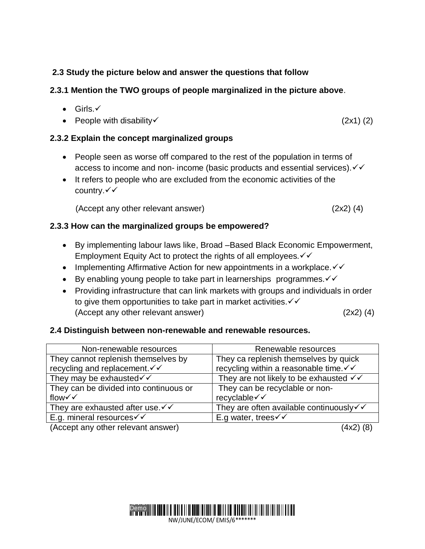# **2.3 Study the picture below and answer the questions that follow**

# **2.3.1 Mention the TWO groups of people marginalized in the picture above**.

- $\bullet$  Girls. $\checkmark$
- People with disability  $(2x1)(2)$

#### **2.3.2 Explain the concept marginalized groups**

- People seen as worse off compared to the rest of the population in terms of access to income and non- income (basic products and essential services).  $\checkmark\checkmark$
- It refers to people who are excluded from the economic activities of the country. $\checkmark\checkmark$

(Accept any other relevant answer) (2x2) (4)

# **2.3.3 How can the marginalized groups be empowered?**

- By implementing labour laws like, Broad –Based Black Economic Empowerment, Employment Equity Act to protect the rights of all employees.  $\checkmark\checkmark$
- Implementing Affirmative Action for new appointments in a workplace.  $\checkmark\checkmark$
- Ey enabling young people to take part in learnerships programmes.  $\checkmark\checkmark$
- Providing infrastructure that can link markets with groups and individuals in order to give them opportunities to take part in market activities.  $\checkmark\checkmark$ (Accept any other relevant answer) (2x2) (4)

#### **2.4 Distinguish between non-renewable and renewable resources.**

| Non-renewable resources                       | Renewable resources                              |
|-----------------------------------------------|--------------------------------------------------|
| They cannot replenish themselves by           | They ca replenish themselves by quick            |
| recycling and replacement. V V                | recycling within a reasonable time. V V          |
| They may be exhausted√√                       | They are not likely to be exhausted $\checkmark$ |
| They can be divided into continuous or        | They can be recyclable or non-                   |
| flow√√                                        | recyclable√√                                     |
| They are exhausted after use $\checkmark$     | They are often available continuously√√          |
| E.g. mineral resources $\checkmark\checkmark$ | E.g water, trees $\checkmark\checkmark$          |
| (Accept any other relevant answer)            |                                                  |

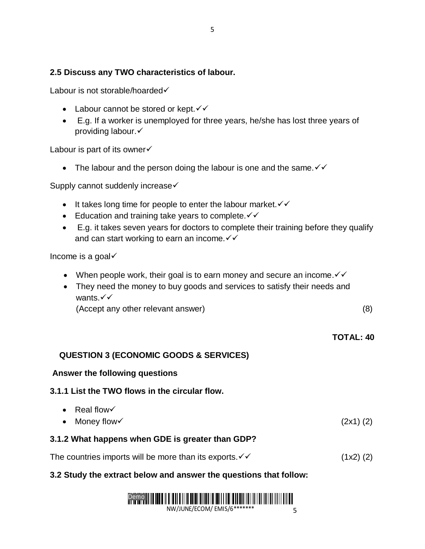# **2.5 Discuss any TWO characteristics of labour.**

Labour is not storable/hoarded√

- Labour cannot be stored or kept. $\checkmark\checkmark$
- E.g. If a worker is unemployed for three years, he/she has lost three years of providing labour.

Labour is part of its owner√

• The labour and the person doing the labour is one and the same.  $\checkmark\checkmark$ 

Supply cannot suddenly increase <del>✓</del>

- $\bullet$  It takes long time for people to enter the labour market.  $\checkmark\checkmark$
- Education and training take years to complete.  $\checkmark\checkmark$
- E.g. it takes seven years for doctors to complete their training before they qualify and can start working to earn an income. $\checkmark\checkmark$

Income is a goal $\checkmark$ 

- When people work, their goal is to earn money and secure an income.  $\checkmark\checkmark$
- They need the money to buy goods and services to satisfy their needs and wants. $\checkmark\checkmark$

(Accept any other relevant answer) (8)

 **TOTAL: 40**

#### **QUESTION 3 (ECONOMIC GOODS & SERVICES)**

#### **Answer the following questions**

**3.1.1 List the TWO flows in the circular flow.** 

 $\bullet$  Real flow  $\checkmark$ • Money flow  $\checkmark$  (2x1) (2)

#### **3.1.2 What happens when GDE is greater than GDP?**

The countries imports will be more than its exports.  $\checkmark\checkmark$  (1x2) (2)

# **3.2 Study the extract below and answer the questions that follow:**

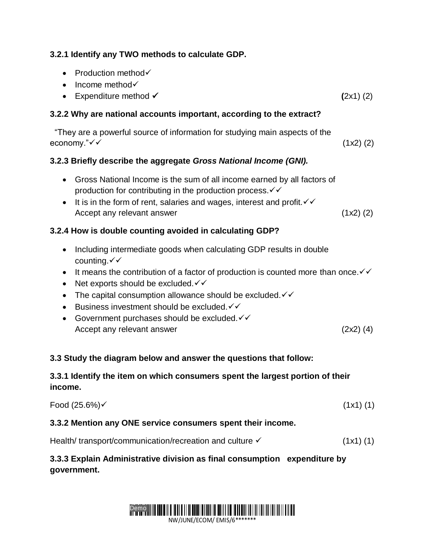# **3.2.1 Identify any TWO methods to calculate GDP.**

- Production method $\checkmark$
- $\bullet$  Income method $\checkmark$
- Expenditure method  $\checkmark$  (2x1) (2)

#### **3.2.2 Why are national accounts important, according to the extract?**

 "They are a powerful source of information for studying main aspects of the  $e \text{conomy."} \checkmark \checkmark$  (1x2) (2)

#### **3.2.3 Briefly describe the aggregate** *Gross National Income (GNI).*

- Gross National Income is the sum of all income earned by all factors of production for contributing in the production process.  $\checkmark\checkmark$
- It is in the form of rent, salaries and wages, interest and profit.  $\checkmark\checkmark$ Accept any relevant answer (1x2) (2)

# **3.2.4 How is double counting avoided in calculating GDP?**

- Including intermediate goods when calculating GDP results in double counting.√√
- It means the contribution of a factor of production is counted more than once.  $\checkmark\checkmark$
- Net exports should be excluded. $\checkmark\checkmark$
- The capital consumption allowance should be excluded.  $\checkmark\checkmark$
- Eusiness investment should be excluded.  $\checkmark\checkmark$
- Government purchases should be excluded. $\checkmark\checkmark$ Accept any relevant answer (2x2) (4)

# **3.3 Study the diagram below and answer the questions that follow:**

# **3.3.1 Identify the item on which consumers spent the largest portion of their income.**

| Food $(25.6%)$ | (1x1)(1) |
|----------------|----------|
|----------------|----------|

#### **3.3.2 Mention any ONE service consumers spent their income.**

| Health/transport/communication/recreation and culture √ | $(1x1)$ $(1)$ |
|---------------------------------------------------------|---------------|
|---------------------------------------------------------|---------------|

# **3.3.3 Explain Administrative division as final consumption expenditure by government.**

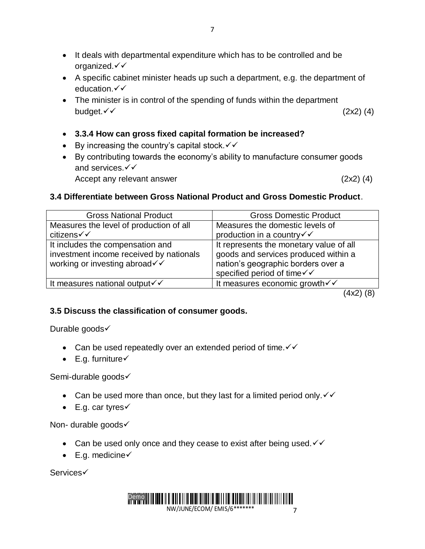- It deals with departmental expenditure which has to be controlled and be organized.
- A specific cabinet minister heads up such a department, e.g. the department of education. $\checkmark\checkmark$
- The minister is in control of the spending of funds within the department budget.  $\checkmark$  (2x2) (4)
- **3.3.4 How can gross fixed capital formation be increased?**
- $\bullet$  By increasing the country's capital stock.  $\checkmark\checkmark$
- By contributing towards the economy's ability to manufacture consumer goods and services. $\checkmark\checkmark$

Accept any relevant answer (2x2) (4)

# **3.4 Differentiate between Gross National Product and Gross Domestic Product**.

| <b>Gross National Product</b>                                                                                | <b>Gross Domestic Product</b>                                                                                                                       |
|--------------------------------------------------------------------------------------------------------------|-----------------------------------------------------------------------------------------------------------------------------------------------------|
| Measures the level of production of all<br>citizens√√                                                        | Measures the domestic levels of<br>production in a country√√                                                                                        |
| It includes the compensation and<br>investment income received by nationals<br>working or investing abroad√√ | It represents the monetary value of all<br>goods and services produced within a<br>nation's geographic borders over a<br>specified period of time√√ |
| It measures national output√√                                                                                | It measures economic growth $\checkmark$                                                                                                            |

(4x2) (8)

# **3.5 Discuss the classification of consumer goods.**

Durable goods√

- Can be used repeatedly over an extended period of time.  $\checkmark\checkmark$
- $\bullet$  E.g. furniture $\checkmark$

# Semi-durable goods√

- Can be used more than once, but they last for a limited period only.  $\checkmark\checkmark$
- $\bullet$  E.g. car tyres $\checkmark$

Non- durable goods√

- Can be used only once and they cease to exist after being used.  $\checkmark\checkmark$
- $\bullet$  E.g. medicine $\checkmark$

Services

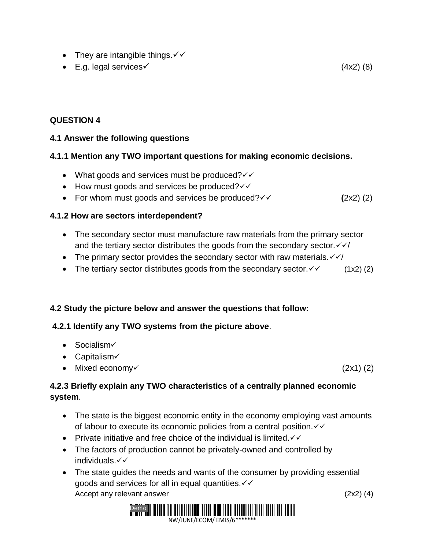- They are intangible things.  $\checkmark\checkmark$
- E.g. legal services  $(4x2)$  (8)

# **QUESTION 4**

# **4.1 Answer the following questions**

# **4.1.1 Mention any TWO important questions for making economic decisions.**

- What goods and services must be produced? $\checkmark\checkmark$
- $\bullet$  How must goods and services be produced? $\checkmark\checkmark$
- For whom must goods and services be produced? $\checkmark$   $\checkmark$   $(2x2)(2)$

# **4.1.2 How are sectors interdependent?**

- The secondary sector must manufacture raw materials from the primary sector and the tertiary sector distributes the goods from the secondary sector.  $\sqrt{\sqrt{}}$
- The primary sector provides the secondary sector with raw materials.  $\sqrt{\sqrt{}}$
- The tertiary sector distributes goods from the secondary sector.  $\checkmark$  (1x2) (2)

#### **4.2 Study the picture below and answer the questions that follow:**

#### **4.2.1 Identify any TWO systems from the picture above**.

- $\bullet$  Socialism $\checkmark$
- $\bullet$  Capitalism $\checkmark$
- Mixed economy  $(2x1)(2)$

# **4.2.3 Briefly explain any TWO characteristics of a centrally planned economic system**.

- The state is the biggest economic entity in the economy employing vast amounts of labour to execute its economic policies from a central position.  $\checkmark\checkmark$
- Private initiative and free choice of the individual is limited.  $\checkmark\checkmark$
- The factors of production cannot be privately-owned and controlled by individuals.
- The state guides the needs and wants of the consumer by providing essential goods and services for all in equal quantities. $\checkmark\checkmark$ Accept any relevant answer (2x2) (4)

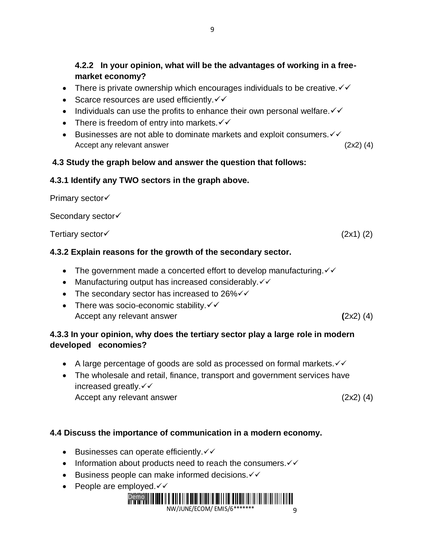# **4.2.2 In your opinion, what will be the advantages of working in a freemarket economy?**

- There is private ownership which encourages individuals to be creative.  $\checkmark\checkmark$
- Scarce resources are used efficiently. $\checkmark\checkmark$
- Individuals can use the profits to enhance their own personal welfare.  $\checkmark\checkmark$
- There is freedom of entry into markets. $\checkmark\checkmark$
- Eusinesses are not able to dominate markets and exploit consumers.  $\checkmark\checkmark$ Accept any relevant answer (2x2) (4)

#### **4.3 Study the graph below and answer the question that follows:**

#### **4.3.1 Identify any TWO sectors in the graph above.**

**Primary sector√** 

Secondary sector√

Tertiary sector(2x1) (2)

# **4.3.2 Explain reasons for the growth of the secondary sector.**

- The government made a concerted effort to develop manufacturing. $\checkmark\checkmark$
- Manufacturing output has increased considerably. $\checkmark\checkmark$
- The secondary sector has increased to 26% $\checkmark\checkmark$
- There was socio-economic stability.  $\checkmark\checkmark$ Accept any relevant answer **(**2x2) (4)

# **4.3.3 In your opinion, why does the tertiary sector play a large role in modern developed economies?**

- A large percentage of goods are sold as processed on formal markets. $\checkmark\checkmark$
- The wholesale and retail, finance, transport and government services have increased greatly. $\checkmark\checkmark$ Accept any relevant answer (2x2) (4)

# **4.4 Discuss the importance of communication in a modern economy.**

- Eusinesses can operate efficiently. $\checkmark\checkmark$
- Information about products need to reach the consumers. $\checkmark\checkmark$
- Eusiness people can make informed decisions. $\checkmark\checkmark$
- People are employed. $\checkmark\checkmark$

#### Demo NW/JUNE/ECOM/ EMIS/6\*\*\*\*\*\*\* 9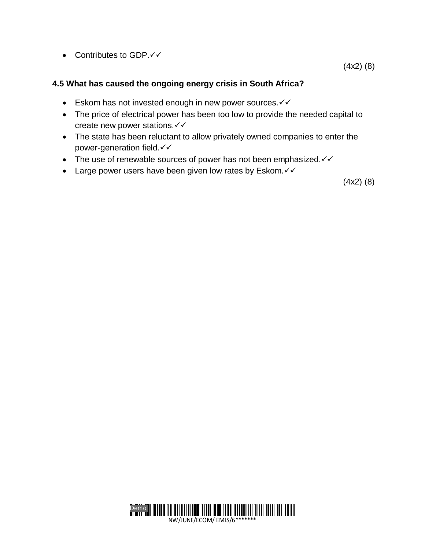• Contributes to GDP. $\checkmark\checkmark$ 

(4x2) (8)

#### **4.5 What has caused the ongoing energy crisis in South Africa?**

- Eskom has not invested enough in new power sources. $\checkmark\checkmark$
- The price of electrical power has been too low to provide the needed capital to create new power stations.
- The state has been reluctant to allow privately owned companies to enter the power-generation field.
- The use of renewable sources of power has not been emphasized. $\checkmark\checkmark$
- Large power users have been given low rates by Eskom. $\checkmark\checkmark$

(4x2) (8)

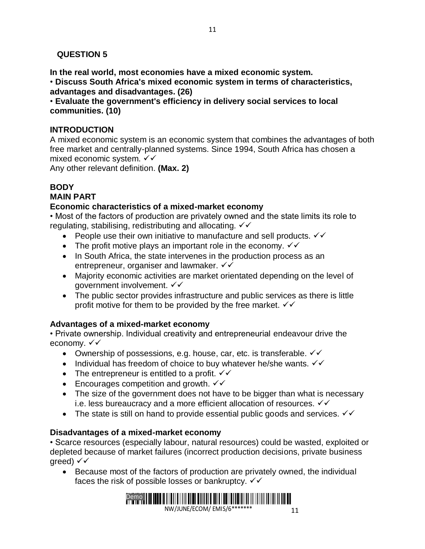# **QUESTION 5**

**In the real world, most economies have a mixed economic system.** 

• **Discuss South Africa's mixed economic system in terms of characteristics, advantages and disadvantages. (26)** 

• **Evaluate the government's efficiency in delivery social services to local communities. (10)** 

# **INTRODUCTION**

A mixed economic system is an economic system that combines the advantages of both free market and centrally-planned systems. Since 1994, South Africa has chosen a mixed economic system.

Any other relevant definition. **(Max. 2)** 

# **BODY**

#### **MAIN PART**

#### **Economic characteristics of a mixed-market economy**

• Most of the factors of production are privately owned and the state limits its role to regulating, stabilising, redistributing and allocating.  $\checkmark\checkmark$ 

- People use their own initiative to manufacture and sell products.  $\checkmark\checkmark$
- The profit motive plays an important role in the economy.  $\checkmark\checkmark$
- In South Africa, the state intervenes in the production process as an entrepreneur, organiser and lawmaker.  $\checkmark\checkmark$
- Majority economic activities are market orientated depending on the level of government involvement. √√
- The public sector provides infrastructure and public services as there is little profit motive for them to be provided by the free market.  $\sqrt{6}$

# **Advantages of a mixed-market economy**

• Private ownership. Individual creativity and entrepreneurial endeavour drive the economy. √ √

- Ownership of possessions, e.g. house, car, etc. is transferable.  $\checkmark\checkmark$
- Individual has freedom of choice to buy whatever he/she wants.  $\checkmark\checkmark$
- The entrepreneur is entitled to a profit.  $\checkmark\checkmark$
- **Encourages competition and growth.**  $\checkmark\checkmark$
- The size of the government does not have to be bigger than what is necessary i.e. less bureaucracy and a more efficient allocation of resources.  $\checkmark\checkmark$
- The state is still on hand to provide essential public goods and services.  $\checkmark\checkmark$

#### **Disadvantages of a mixed-market economy**

• Scarce resources (especially labour, natural resources) could be wasted, exploited or depleted because of market failures (incorrect production decisions, private business qreed)  $\checkmark\checkmark$ 

 Because most of the factors of production are privately owned, the individual faces the risk of possible losses or bankruptcy.  $\checkmark\checkmark$ 

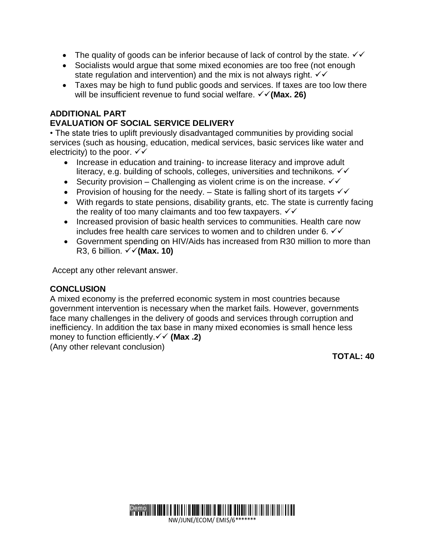- The quality of goods can be inferior because of lack of control by the state.  $\checkmark\checkmark$
- Socialists would argue that some mixed economies are too free (not enough state regulation and intervention) and the mix is not always right.  $\checkmark\checkmark$
- Taxes may be high to fund public goods and services. If taxes are too low there will be insufficient revenue to fund social welfare.  $\checkmark$  (Max. 26)

#### **ADDITIONAL PART**

#### **EVALUATION OF SOCIAL SERVICE DELIVERY**

• The state tries to uplift previously disadvantaged communities by providing social services (such as housing, education, medical services, basic services like water and electricity) to the poor.  $\checkmark\checkmark$ 

- Increase in education and training- to increase literacy and improve adult literacy, e.g. building of schools, colleges, universities and technikons.
- Security provision Challenging as violent crime is on the increase.  $\checkmark\checkmark$
- Provision of housing for the needy.  $-$  State is falling short of its targets  $\checkmark\checkmark$
- With regards to state pensions, disability grants, etc. The state is currently facing the reality of too many claimants and too few taxpayers.  $\checkmark\checkmark$
- Increased provision of basic health services to communities. Health care now includes free health care services to women and to children under 6.  $\checkmark\checkmark$
- Government spending on HIV/Aids has increased from R30 million to more than R3, 6 billion.  $\checkmark\checkmark$  (Max. 10)

Accept any other relevant answer.

#### **CONCLUSION**

A mixed economy is the preferred economic system in most countries because government intervention is necessary when the market fails. However, governments face many challenges in the delivery of goods and services through corruption and inefficiency. In addition the tax base in many mixed economies is small hence less money to function efficiently. **(Max .2)**

(Any other relevant conclusion)

 **TOTAL: 40**

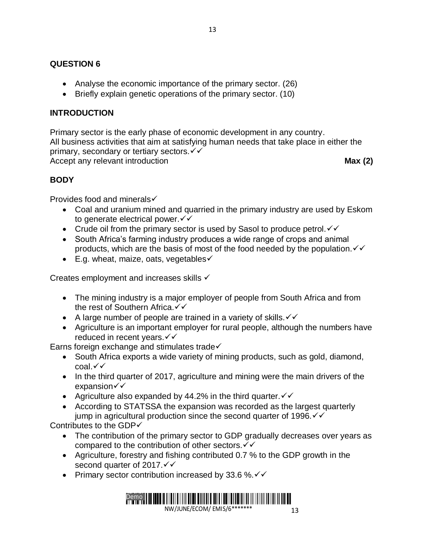#### **QUESTION 6**

- Analyse the economic importance of the primary sector. (26)
- Briefly explain genetic operations of the primary sector. (10)

#### **INTRODUCTION**

Primary sector is the early phase of economic development in any country. All business activities that aim at satisfying human needs that take place in either the primary, secondary or tertiary sectors.  $\checkmark\checkmark$ Accept any relevant introduction **Max** (2)

# **BODY**

Provides food and minerals

- Coal and uranium mined and quarried in the primary industry are used by Eskom to generate electrical power.  $∨$
- Crude oil from the primary sector is used by Sasol to produce petrol.  $\checkmark\checkmark$
- South Africa's farming industry produces a wide range of crops and animal products, which are the basis of most of the food needed by the population.  $\checkmark\checkmark$
- $\bullet$  E.g. wheat, maize, oats, vegetables $\checkmark$

Creates employment and increases skills  $\checkmark$ 

- The mining industry is a major employer of people from South Africa and from the rest of Southern Africa.  $\checkmark\checkmark$
- A large number of people are trained in a variety of skills.  $\checkmark\checkmark$
- Agriculture is an important employer for rural people, although the numbers have reduced in recent years.

Earns foreign exchange and stimulates trade $\checkmark$ 

- South Africa exports a wide variety of mining products, such as gold, diamond,  $\cosh \sqrt{x}$
- In the third quarter of 2017, agriculture and mining were the main drivers of the expansion√√
- Agriculture also expanded by 44.2% in the third quarter.  $\checkmark\checkmark$
- According to STATSSA the expansion was recorded as the largest quarterly jump in agricultural production since the second quarter of 1996. $\checkmark$

Contributes to the GDP√

- The contribution of the primary sector to GDP gradually decreases over years as compared to the contribution of other sectors.  $∨ √$
- Agriculture, forestry and fishing contributed 0.7 % to the GDP growth in the second quarter of 2017. $\checkmark\checkmark$
- Primary sector contribution increased by 33.6 %. $\checkmark\checkmark$



13